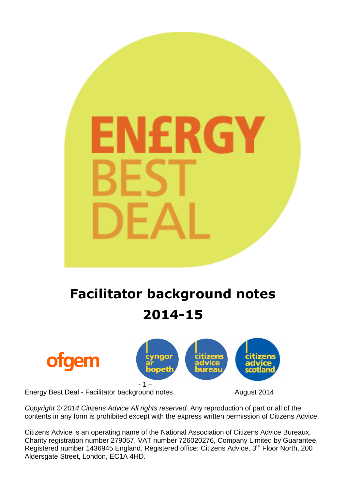# RGY

**Facilitator background notes 2014-15**



*Copyright © 2014 Citizens Advice All rights reserved.* Any reproduction of part or all of the contents in any form is prohibited except with the express written permission of Citizens Advice.

Citizens Advice is an operating name of the National Association of Citizens Advice Bureaux, Charity registration number 279057, VAT number 726020276, Company Limited by Guarantee, Registered number 1436945 England. Registered office: Citizens Advice, 3<sup>rd</sup> Floor North, 200 Aldersgate Street, London, EC1A 4HD.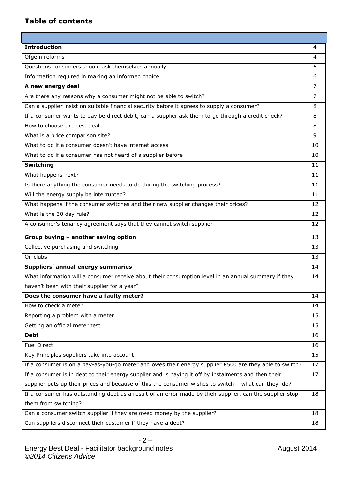## **Table of contents**

| <b>Introduction</b>                                                                                      | 4  |
|----------------------------------------------------------------------------------------------------------|----|
| Ofgem reforms                                                                                            | 4  |
| Questions consumers should ask themselves annually                                                       | 6  |
| Information required in making an informed choice                                                        | 6  |
| A new energy deal                                                                                        | 7  |
| Are there any reasons why a consumer might not be able to switch?                                        | 7  |
| Can a supplier insist on suitable financial security before it agrees to supply a consumer?              | 8  |
| If a consumer wants to pay be direct debit, can a supplier ask them to go through a credit check?        | 8  |
| How to choose the best deal                                                                              | 8  |
| What is a price comparison site?                                                                         | 9  |
| What to do if a consumer doesn't have internet access                                                    | 10 |
| What to do if a consumer has not heard of a supplier before                                              | 10 |
| <b>Switching</b>                                                                                         | 11 |
| What happens next?                                                                                       | 11 |
| Is there anything the consumer needs to do during the switching process?                                 | 11 |
| Will the energy supply be interrupted?                                                                   | 11 |
| What happens if the consumer switches and their new supplier changes their prices?                       | 12 |
| What is the 30 day rule?                                                                                 | 12 |
| A consumer's tenancy agreement says that they cannot switch supplier                                     | 12 |
| Group buying - another saving option                                                                     | 13 |
| Collective purchasing and switching                                                                      | 13 |
| Oil clubs                                                                                                | 13 |
| Suppliers' annual energy summaries                                                                       | 14 |
| What information will a consumer receive about their consumption level in an annual summary if they      | 14 |
| haven't been with their supplier for a year?                                                             |    |
| Does the consumer have a faulty meter?                                                                   | 14 |
| How to check a meter                                                                                     | 14 |
| Reporting a problem with a meter                                                                         | 15 |
| Getting an official meter test                                                                           | 15 |
| <b>Debt</b>                                                                                              | 16 |
|                                                                                                          |    |
| <b>Fuel Direct</b>                                                                                       | 16 |
| Key Principles suppliers take into account                                                               | 15 |
| If a consumer is on a pay-as-you-go meter and owes their energy supplier £500 are they able to switch?   | 17 |
| If a consumer is in debt to their energy supplier and is paying it off by instalments and then their     | 17 |
| supplier puts up their prices and because of this the consumer wishes to switch - what can they do?      |    |
| If a consumer has outstanding debt as a result of an error made by their supplier, can the supplier stop | 18 |
| them from switching?                                                                                     |    |
| Can a consumer switch supplier if they are owed money by the supplier?                                   | 18 |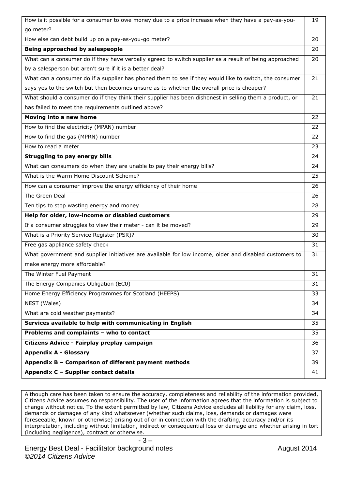| How is it possible for a consumer to owe money due to a price increase when they have a pay-as-you-     | 19 |
|---------------------------------------------------------------------------------------------------------|----|
| go meter?                                                                                               |    |
| How else can debt build up on a pay-as-you-go meter?                                                    | 20 |
| Being approached by salespeople                                                                         | 20 |
| What can a consumer do if they have verbally agreed to switch supplier as a result of being approached  | 20 |
| by a salesperson but aren't sure if it is a better deal?                                                |    |
| What can a consumer do if a supplier has phoned them to see if they would like to switch, the consumer  | 21 |
| says yes to the switch but then becomes unsure as to whether the overall price is cheaper?              |    |
| What should a consumer do if they think their supplier has been dishonest in selling them a product, or | 21 |
| has failed to meet the requirements outlined above?                                                     |    |
| Moving into a new home                                                                                  | 22 |
| How to find the electricity (MPAN) number                                                               | 22 |
| How to find the gas (MPRN) number                                                                       | 22 |
| How to read a meter                                                                                     | 23 |
| Struggling to pay energy bills                                                                          | 24 |
| What can consumers do when they are unable to pay their energy bills?                                   | 24 |
| What is the Warm Home Discount Scheme?                                                                  | 25 |
| How can a consumer improve the energy efficiency of their home                                          | 26 |
| The Green Deal                                                                                          | 26 |
| Ten tips to stop wasting energy and money                                                               | 28 |
| Help for older, low-income or disabled customers                                                        | 29 |
| If a consumer struggles to view their meter - can it be moved?                                          | 29 |
| What is a Priority Service Register (PSR)?                                                              | 30 |
| Free gas appliance safety check                                                                         | 31 |
| What government and supplier initiatives are available for low income, older and disabled customers to  | 31 |
| make energy more affordable?                                                                            |    |
| The Winter Fuel Payment                                                                                 | 31 |
| The Energy Companies Obligation (EC0)                                                                   | 31 |
| Home Energy Efficiency Programmes for Scotland (HEEPS)                                                  | 33 |
| NEST (Wales)                                                                                            | 34 |
| What are cold weather payments?                                                                         | 34 |
| Services available to help with communicating in English                                                | 35 |
| Problems and complaints - who to contact                                                                | 35 |
| Citizens Advice - Fairplay preplay campaign                                                             | 36 |
| <b>Appendix A - Glossary</b>                                                                            | 37 |
| Appendix B - Comparison of different payment methods                                                    | 39 |
| Appendix C - Supplier contact details                                                                   | 41 |

Although care has been taken to ensure the accuracy, completeness and reliability of the information provided, Citizens Advice assumes no responsibility. The user of the information agrees that the information is subject to change without notice. To the extent permitted by law, Citizens Advice excludes all liability for any claim, loss, demands or damages of any kind whatsoever (whether such claims, loss, demands or damages were foreseeable, known or otherwise) arising out of or in connection with the drafting, accuracy and/or its interpretation, including without limitation, indirect or consequential loss or damage and whether arising in tort (including negligence), contract or otherwise.

- 3 –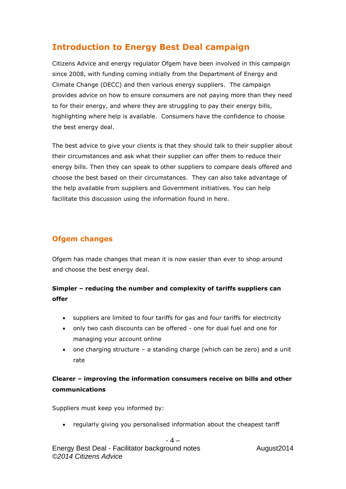# **Introduction to Energy Best Deal campaign**

Citizens Advice and energy regulator Ofgem have been involved in this campaign since 2008, with funding coming initially from the Department of Energy and Climate Change (DECC) and then various energy suppliers. The campaign provides advice on how to ensure consumers are not paying more than they need to for their energy, and where they are struggling to pay their energy bills, highlighting where help is available. Consumers have the confidence to choose the best energy deal.

The best advice to give your clients is that they should talk to their supplier about their circumstances and ask what their supplier can offer them to reduce their energy bills. Then they can speak to other suppliers to compare deals offered and choose the best based on their circumstances. They can also take advantage of the help available from suppliers and Government initiatives. You can help facilitate this discussion using the information found in here.

# **Ofgem changes**

Ofgem has made changes that mean it is now easier than ever to shop around and choose the best energy deal.

# **Simpler – reducing the number and complexity of tariffs suppliers can offer**

- suppliers are limited to four tariffs for gas and four tariffs for electricity
- only two cash discounts can be offered one for dual fuel and one for managing your account online
- one charging structure a standing charge (which can be zero) and a unit rate

# **Clearer – improving the information consumers receive on bills and other communications**

Suppliers must keep you informed by:

regularly giving you personalised information about the cheapest tariff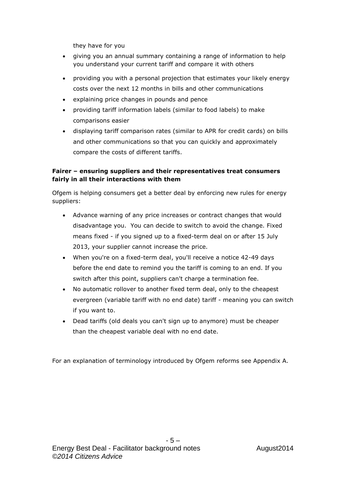they have for you

- giving you an annual summary containing a range of information to help you understand your current tariff and compare it with others
- providing you with a personal projection that estimates your likely energy costs over the next 12 months in bills and other communications
- explaining price changes in pounds and pence
- providing tariff information labels (similar to food labels) to make comparisons easier
- displaying tariff comparison rates (similar to APR for credit cards) on bills and other communications so that you can quickly and approximately compare the costs of different tariffs.

## **Fairer – ensuring suppliers and their representatives treat consumers fairly in all their interactions with them**

Ofgem is helping consumers get a better deal by enforcing new rules for energy suppliers:

- Advance warning of any price increases or contract changes that would disadvantage you. You can decide to switch to avoid the change. Fixed means fixed - if you signed up to a fixed-term deal on or after 15 July 2013, your supplier cannot increase the price.
- When you're on a fixed-term deal, you'll receive a notice 42-49 days before the end date to remind you the tariff is coming to an end. If you switch after this point, suppliers can't charge a termination fee.
- No automatic rollover to another fixed term deal, only to the cheapest evergreen (variable tariff with no end date) tariff - meaning you can switch if you want to.
- Dead tariffs (old deals you can't sign up to anymore) must be cheaper than the cheapest variable deal with no end date.

For an explanation of terminology introduced by Ofgem reforms see Appendix A.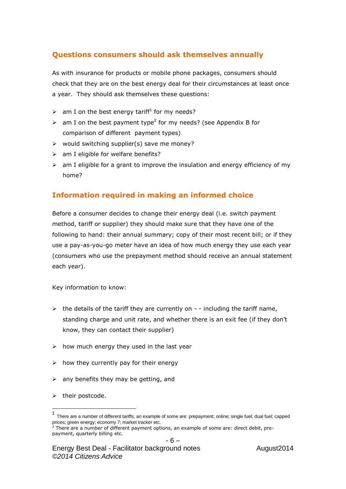## **Questions consumers should ask themselves annually**

As with insurance for products or mobile phone packages, consumers should check that they are on the best energy deal for their circumstances at least once a year. They should ask themselves these questions:

- $\triangleright$  am I on the best energy tariff<sup>1</sup> for my needs?
- $\triangleright$  am I on the best payment type<sup>2</sup> for my needs? (see Appendix B for comparison of different payment types)
- $\triangleright$  would switching supplier(s) save me money?
- $\triangleright$  am I eligible for welfare benefits?
- $\triangleright$  am I eligible for a grant to improve the insulation and energy efficiency of my home?

## **Information required in making an informed choice**

Before a consumer decides to change their energy deal (i.e. switch payment method, tariff or supplier) they should make sure that they have one of the following to hand: their annual summary; copy of their most recent bill; or if they use a pay-as-you-go meter have an idea of how much energy they use each year (consumers who use the prepayment method should receive an annual statement each year).

Key information to know:

- $\triangleright$  the details of the tariff they are currently on - including the tariff name, standing charge and unit rate, and whether there is an exit fee (if they don't know, they can contact their supplier)
- $\triangleright$  how much energy they used in the last year
- $\triangleright$  how they currently pay for their energy
- $\geq$  any benefits they may be getting, and
- $\triangleright$  their postcode.

l

<sup>1</sup> There are a number of different tariffs, an example of some are: prepayment; online; single fuel; dual fuel; capped prices; green energy; economy 7; market tracker etc.

<sup>2</sup> There are a number of different payment options, an example of some are: direct debit, prepayment, quarterly billing etc.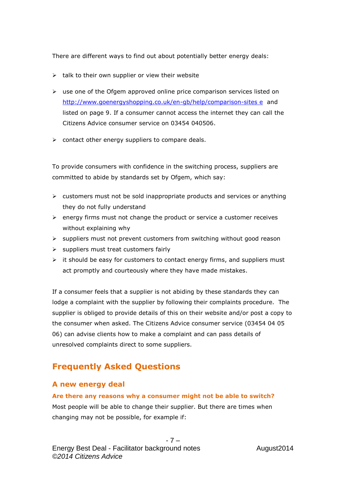There are different ways to find out about potentially better energy deals:

- $\triangleright$  talk to their own supplier or view their website
- $\triangleright$  use one of the Ofgem approved online price comparison services listed on [http://www.goenergyshopping.co.uk/en-gb/help/comparison-sites](http://www.ofgem.gov.uk/information-consumers/domestic-consumers/switching-your-energy-supplier/confidence-code) e and listed on page 9. If a consumer cannot access the internet they can call the Citizens Advice consumer service on 03454 040506.
- $\triangleright$  contact other energy suppliers to compare deals.

To provide consumers with confidence in the switching process, suppliers are committed to abide by standards set by Ofgem, which say:

- $\triangleright$  customers must not be sold inappropriate products and services or anything they do not fully understand
- $\triangleright$  energy firms must not change the product or service a customer receives without explaining why
- $\triangleright$  suppliers must not prevent customers from switching without good reason
- $\triangleright$  suppliers must treat customers fairly
- $\triangleright$  it should be easy for customers to contact energy firms, and suppliers must act promptly and courteously where they have made mistakes.

If a consumer feels that a supplier is not abiding by these standards they can lodge a complaint with the supplier by following their complaints procedure. The supplier is obliged to provide details of this on their website and/or post a copy to the consumer when asked. The Citizens Advice consumer service (03454 04 05 06) can advise clients how to make a complaint and can pass details of unresolved complaints direct to some suppliers.

# **Frequently Asked Questions**

## **A new energy deal**

**Are there any reasons why a consumer might not be able to switch?**  Most people will be able to change their supplier. But there are times when changing may not be possible, for example if: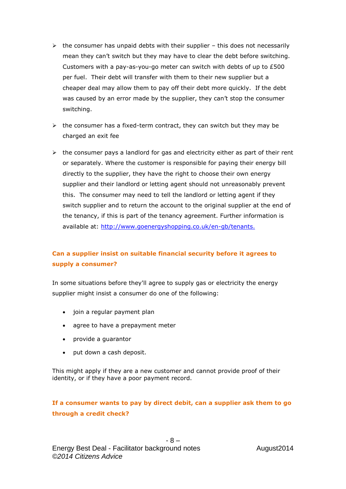- $\triangleright$  the consumer has unpaid debts with their supplier this does not necessarily mean they can't switch but they may have to clear the debt before switching. Customers with a pay-as-you-go meter can switch with debts of up to £500 per fuel. Their debt will transfer with them to their new supplier but a cheaper deal may allow them to pay off their debt more quickly. If the debt was caused by an error made by the supplier, they can't stop the consumer switching.
- $\triangleright$  the consumer has a fixed-term contract, they can switch but they may be charged an exit fee
- $\triangleright$  the consumer pays a landlord for gas and electricity either as part of their rent or separately. Where the customer is responsible for paying their energy bill directly to the supplier, they have the right to choose their own energy supplier and their landlord or letting agent should not unreasonably prevent this. The consumer may need to tell the landlord or letting agent if they switch supplier and to return the account to the original supplier at the end of the tenancy, if this is part of the tenancy agreement. Further information is available at: [http://www.goenergyshopping.co.uk/en-gb/tenants.](http://www.goenergyshopping.co.uk/en-gb/tenants)

## **Can a supplier insist on suitable financial security before it agrees to supply a consumer?**

In some situations before they'll agree to supply gas or electricity the energy supplier might insist a consumer do one of the following:

- join a regular payment plan
- agree to have a prepayment meter
- provide a guarantor
- put down a cash deposit.

This might apply if they are a new customer and cannot provide proof of their identity, or if they have a poor payment record.

## **If a consumer wants to pay by direct debit, can a supplier ask them to go through a credit check?**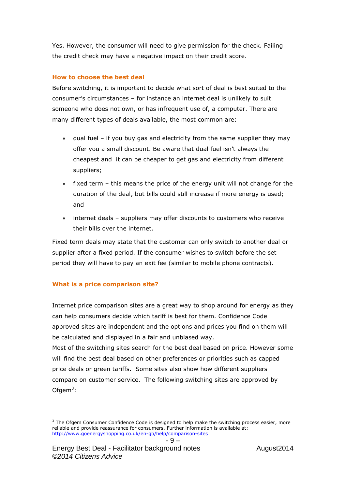Yes. However, the consumer will need to give permission for the check. Failing the credit check may have a negative impact on their credit score.

## **How to choose the best deal**

Before switching, it is important to decide what sort of deal is best suited to the consumer's circumstances – for instance an internet deal is unlikely to suit someone who does not own, or has infrequent use of, a computer. There are many different types of deals available, the most common are:

- dual fuel if you buy gas and electricity from the same supplier they may offer you a small discount. Be aware that dual fuel isn't always the cheapest and it can be cheaper to get gas and electricity from different suppliers;
- fixed term this means the price of the energy unit will not change for the duration of the deal, but bills could still increase if more energy is used; and
- internet deals suppliers may offer discounts to customers who receive their bills over the internet.

Fixed term deals may state that the customer can only switch to another deal or supplier after a fixed period. If the consumer wishes to switch before the set period they will have to pay an exit fee (similar to mobile phone contracts).

## **What is a price comparison site?**

Internet price comparison sites are a great way to shop around for energy as they can help consumers decide which tariff is best for them. Confidence Code approved sites are independent and the options and prices you find on them will be calculated and displayed in a fair and unbiased way.

Most of the switching sites search for the best deal based on price. However some will find the best deal based on other preferences or priorities such as capped price deals or green tariffs. Some sites also show how different suppliers compare on customer service. The following switching sites are approved by Ofgem $3$ :

l  $3$  The Ofgem Consumer Confidence Code is designed to help make the switching process easier, more reliable and provide reassurance for consumers. Further information is available at: <http://www.goenergyshopping.co.uk/en-gb/help/comparison-sites>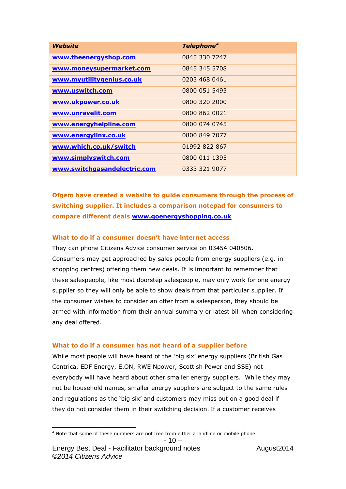| Website                      | Telephone <sup>4</sup> |
|------------------------------|------------------------|
| www.theenergyshop.com        | 0845 330 7247          |
| www.moneysupermarket.com     | 0845 345 5708          |
| www.myutilitygenius.co.uk    | 0203 468 0461          |
| www.uswitch.com              | 0800 051 5493          |
| www.ukpower.co.uk            | 0800 320 2000          |
| www.unravelit.com            | 0800 862 0021          |
| www.energyhelpline.com       | 0800 074 0745          |
| www.energylinx.co.uk         | 0800 849 7077          |
| www.which.co.uk/switch       | 01992 822 867          |
| www.simplyswitch.com         | 0800 011 1395          |
| www.switchgasandelectric.com | 0333 321 9077          |

**Ofgem have created a website to guide consumers through the process of switching supplier. It includes a comparison notepad for consumers to compare different deals [www.goenergyshopping.co.uk](http://www.goenergyshopping.co.uk/)**

#### **What to do if a consumer doesn't have internet access**

They can phone Citizens Advice consumer service on 03454 040506. Consumers may get approached by sales people from energy suppliers (e.g. in shopping centres) offering them new deals. It is important to remember that these salespeople, like most doorstep salespeople, may only work for one energy supplier so they will only be able to show deals from that particular supplier. If the consumer wishes to consider an offer from a salesperson, they should be armed with information from their annual summary or latest bill when considering any deal offered.

#### **What to do if a consumer has not heard of a supplier before**

While most people will have heard of the 'big six' energy suppliers (British Gas Centrica, EDF Energy, E.ON, RWE Npower, Scottish Power and SSE) not everybody will have heard about other smaller energy suppliers. While they may not be household names, smaller energy suppliers are subject to the same rules and regulations as the 'big six' and customers may miss out on a good deal if they do not consider them in their switching decision. If a customer receives

$$
-10-
$$

 $\overline{a}$ <sup>4</sup> Note that some of these numbers are not free from either a landline or mobile phone.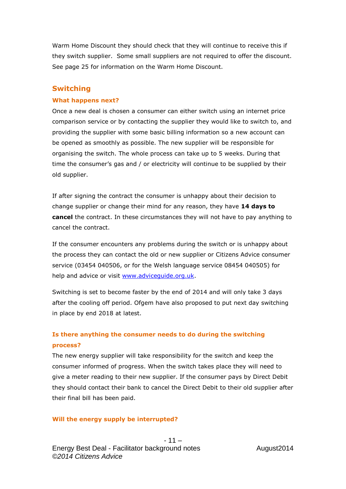Warm Home Discount they should check that they will continue to receive this if they switch supplier. Some small suppliers are not required to offer the discount. See page 25 for information on the Warm Home Discount.

## **Switching**

#### **What happens next?**

Once a new deal is chosen a consumer can either switch using an internet price comparison service or by contacting the supplier they would like to switch to, and providing the supplier with some basic billing information so a new account can be opened as smoothly as possible. The new supplier will be responsible for organising the switch. The whole process can take up to 5 weeks. During that time the consumer's gas and / or electricity will continue to be supplied by their old supplier.

If after signing the contract the consumer is unhappy about their decision to change supplier or change their mind for any reason, they have **14 days to cancel** the contract. In these circumstances they will not have to pay anything to cancel the contract.

If the consumer encounters any problems during the switch or is unhappy about the process they can contact the old or new supplier or Citizens Advice consumer service (03454 040506, or for the Welsh language service 08454 040505) for help and advice or visit [www.adviceguide.org.uk.](http://www.adviceguide.org.uk/)

Switching is set to become faster by the end of 2014 and will only take 3 days after the cooling off period. Ofgem have also proposed to put next day switching in place by end 2018 at latest.

## **Is there anything the consumer needs to do during the switching process?**

The new energy supplier will take responsibility for the switch and keep the consumer informed of progress. When the switch takes place they will need to give a meter reading to their new supplier. If the consumer pays by Direct Debit they should contact their bank to cancel the Direct Debit to their old supplier after their final bill has been paid.

#### **Will the energy supply be interrupted?**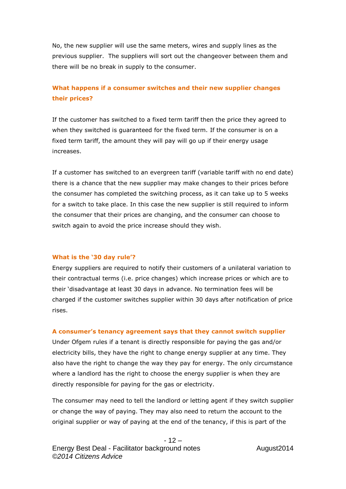No, the new supplier will use the same meters, wires and supply lines as the previous supplier. The suppliers will sort out the changeover between them and there will be no break in supply to the consumer.

## **What happens if a consumer switches and their new supplier changes their prices?**

If the customer has switched to a fixed term tariff then the price they agreed to when they switched is guaranteed for the fixed term. If the consumer is on a fixed term tariff, the amount they will pay will go up if their energy usage increases.

If a customer has switched to an evergreen tariff (variable tariff with no end date) there is a chance that the new supplier may make changes to their prices before the consumer has completed the switching process, as it can take up to 5 weeks for a switch to take place. In this case the new supplier is still required to inform the consumer that their prices are changing, and the consumer can choose to switch again to avoid the price increase should they wish.

#### **What is the '30 day rule'?**

Energy suppliers are required to notify their customers of a unilateral variation to their contractual terms (i.e. price changes) which increase prices or which are to their 'disadvantage at least 30 days in advance. No termination fees will be charged if the customer switches supplier within 30 days after notification of price rises.

#### **A consumer's tenancy agreement says that they cannot switch supplier**

Under Ofgem rules if a tenant is directly responsible for paying the gas and/or electricity bills, they have the right to change energy supplier at any time. They also have the right to change the way they pay for energy. The only circumstance where a landlord has the right to choose the energy supplier is when they are directly responsible for paying for the gas or electricity.

The consumer may need to tell the landlord or letting agent if they switch supplier or change the way of paying. They may also need to return the account to the original supplier or way of paying at the end of the tenancy, if this is part of the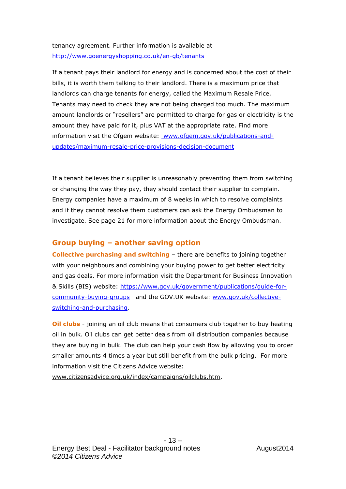tenancy agreement. Further information is available at <http://www.goenergyshopping.co.uk/en-gb/tenants>

If a tenant pays their landlord for energy and is concerned about the cost of their bills, it is worth them talking to their landlord. There is a maximum price that landlords can charge tenants for energy, called the Maximum Resale Price. Tenants may need to check they are not being charged too much. The maximum amount landlords or "resellers" are permitted to charge for gas or electricity is the amount they have paid for it, plus VAT at the appropriate rate. Find more information visit the Ofgem website: [www.ofgem.gov.uk/publications-and](http://www.ofgem.gov.uk/publications-and-updates/maximum-resale-price-provisions-decision-document)[updates/maximum-resale-price-provisions-decision-document](http://www.ofgem.gov.uk/publications-and-updates/maximum-resale-price-provisions-decision-document)

If a tenant believes their supplier is unreasonably preventing them from switching or changing the way they pay, they should contact their supplier to complain. Energy companies have a maximum of 8 weeks in which to resolve complaints and if they cannot resolve them customers can ask the Energy Ombudsman to investigate. See page 21 for more information about the Energy Ombudsman.

## **Group buying – another saving option**

**Collective purchasing and switching** – there are benefits to joining together with your neighbours and combining your buying power to get better electricity and gas deals. For more information visit the Department for Business Innovation & Skills (BIS) website: [https://www.gov.uk/government/publications/guide-for](https://www.gov.uk/government/publications/guide-for-community-buying-groups)[community-buying-groups](https://www.gov.uk/government/publications/guide-for-community-buying-groups) and the GOV.UK website: [www.gov.uk/collective](http://www.gov.uk/collective-switching-and-purchasing)[switching-and-purchasing.](http://www.gov.uk/collective-switching-and-purchasing)

**Oil clubs** - joining an oil club means that consumers club together to buy heating oil in bulk. Oil clubs can get better deals from oil distribution companies because they are buying in bulk. The club can help your cash flow by allowing you to order smaller amounts 4 times a year but still benefit from the bulk pricing. For more information visit the Citizens Advice website:

[www.citizensadvice.org.uk/index/campaigns/oilclubs.htm.](http://www.citizensadvice.org.uk/index/campaigns/oilclubs.htm)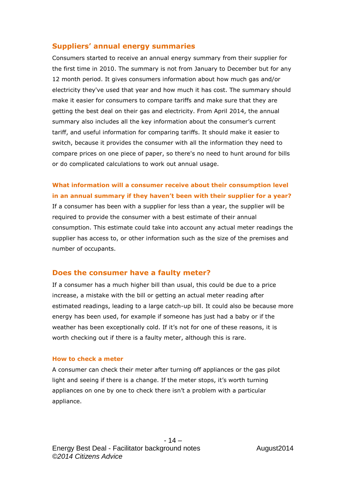## **Suppliers' annual energy summaries**

Consumers started to receive an annual energy summary from their supplier for the first time in 2010. The summary is not from January to December but for any 12 month period. It gives consumers information about how much gas and/or electricity they've used that year and how much it has cost. The summary should make it easier for consumers to compare tariffs and make sure that they are getting the best deal on their gas and electricity. From April 2014, the annual summary also includes all the key information about the consumer's current tariff, and useful information for comparing tariffs. It should make it easier to switch, because it provides the consumer with all the information they need to compare prices on one piece of paper, so there's no need to hunt around for bills or do complicated calculations to work out annual usage.

**What information will a consumer receive about their consumption level in an annual summary if they haven't been with their supplier for a year?** If a consumer has been with a supplier for less than a year, the supplier will be required to provide the consumer with a best estimate of their annual consumption. This estimate could take into account any actual meter readings the supplier has access to, or other information such as the size of the premises and number of occupants.

## **Does the consumer have a faulty meter?**

If a consumer has a much higher bill than usual, this could be due to a price increase, a mistake with the bill or getting an actual meter reading after estimated readings, leading to a large catch-up bill. It could also be because more energy has been used, for example if someone has just had a baby or if the weather has been exceptionally cold. If it's not for one of these reasons, it is worth checking out if there is a faulty meter, although this is rare.

#### **How to check a meter**

A consumer can check their meter after turning off appliances or the gas pilot light and seeing if there is a change. If the meter stops, it's worth turning appliances on one by one to check there isn't a problem with a particular appliance.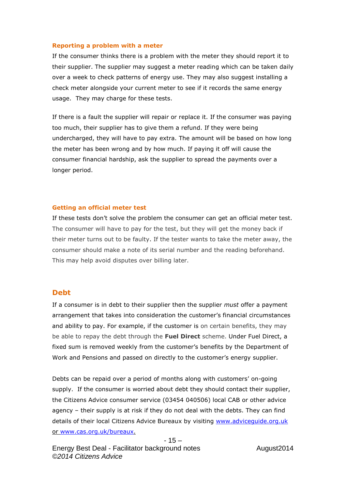#### **Reporting a problem with a meter**

If the consumer thinks there is a problem with the meter they should report it to their supplier. The supplier may suggest a meter reading which can be taken daily over a week to check patterns of energy use. They may also suggest installing a check meter alongside your current meter to see if it records the same energy usage. They may charge for these tests.

If there is a fault the supplier will repair or replace it. If the consumer was paying too much, their supplier has to give them a refund. If they were being undercharged, they will have to pay extra. The amount will be based on how long the meter has been wrong and by how much. If paying it off will cause the consumer financial hardship, ask the supplier to spread the payments over a longer period.

#### **Getting an official meter test**

If these tests don't solve the problem the consumer can get an official meter test. The consumer will have to pay for the test, but they will get the money back if their meter turns out to be faulty. If the tester wants to take the meter away, the consumer should make a note of its serial number and the reading beforehand. This may help avoid disputes over billing later.

#### **Debt**

If a consumer is in debt to their supplier then the supplier *must* offer a payment arrangement that takes into consideration the customer's financial circumstances and ability to pay. For example, if the customer is on certain benefits, they may be able to repay the debt through the **Fuel Direct** scheme. Under Fuel Direct, a fixed sum is removed weekly from the customer's benefits by the Department of Work and Pensions and passed on directly to the customer's energy supplier.

Debts can be repaid over a period of months along with customers' on-going supply. If the consumer is worried about debt they should contact their supplier, the Citizens Advice consumer service (03454 040506) local CAB or other advice agency – their supply is at risk if they do not deal with the debts. They can find details of their local Citizens Advice Bureaux by visiting [www.adviceguide.org.uk](http://www.adviceguide.org.uk/) or [www.cas.org.uk/bureaux.](http://www.cas.org.uk/bureaux)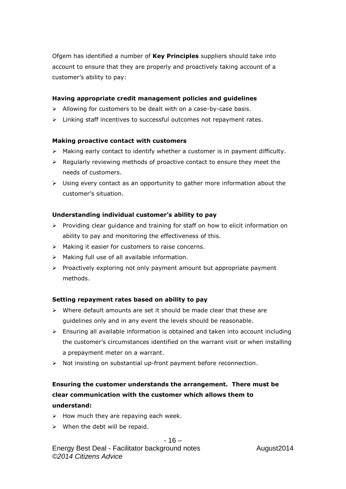Ofgem has identified a number of **Key Principles** suppliers should take into account to ensure that they are properly and proactively taking account of a customer's ability to pay:

#### **Having appropriate credit management policies and guidelines**

- $\triangleright$  Allowing for customers to be dealt with on a case-by-case basis.
- $\triangleright$  Linking staff incentives to successful outcomes not repayment rates.

#### **Making proactive contact with customers**

- $\triangleright$  Making early contact to identify whether a customer is in payment difficulty.
- $\triangleright$  Regularly reviewing methods of proactive contact to ensure they meet the needs of customers.
- $\triangleright$  Using every contact as an opportunity to gather more information about the customer's situation.

#### **Understanding individual customer's ability to pay**

- $\triangleright$  Providing clear guidance and training for staff on how to elicit information on ability to pay and monitoring the effectiveness of this.
- $\triangleright$  Making it easier for customers to raise concerns.
- $\triangleright$  Making full use of all available information.
- $\triangleright$  Proactively exploring not only payment amount but appropriate payment methods.

#### **Setting repayment rates based on ability to pay**

- $\triangleright$  Where default amounts are set it should be made clear that these are guidelines only and in any event the levels should be reasonable.
- $\triangleright$  Ensuring all available information is obtained and taken into account including the customer's circumstances identified on the warrant visit or when installing a prepayment meter on a warrant.
- $\triangleright$  Not insisting on substantial up-front payment before reconnection.

# **Ensuring the customer understands the arrangement. There must be clear communication with the customer which allows them to understand:**

- $\triangleright$  How much they are repaying each week.
- $\triangleright$  When the debt will be repaid.

#### $-16-$

Energy Best Deal - Facilitator background notes August2014 *©2014 Citizens Advice*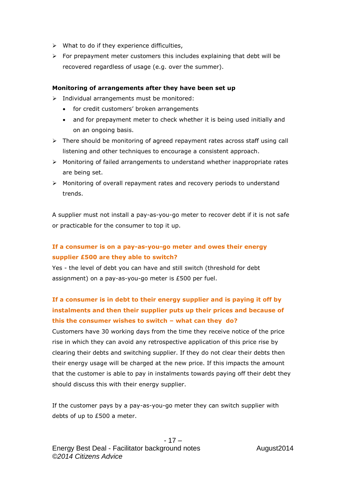- $\triangleright$  What to do if they experience difficulties,
- $\triangleright$  For prepayment meter customers this includes explaining that debt will be recovered regardless of usage (e.g. over the summer).

## **Monitoring of arrangements after they have been set up**

- $\triangleright$  Individual arrangements must be monitored:
	- for credit customers' broken arrangements
	- and for prepayment meter to check whether it is being used initially and on an ongoing basis.
- $\triangleright$  There should be monitoring of agreed repayment rates across staff using call listening and other techniques to encourage a consistent approach.
- $\triangleright$  Monitoring of failed arrangements to understand whether inappropriate rates are being set.
- $\triangleright$  Monitoring of overall repayment rates and recovery periods to understand trends.

A supplier must not install a pay-as-you-go meter to recover debt if it is not safe or practicable for the consumer to top it up.

# **If a consumer is on a pay-as-you-go meter and owes their energy supplier £500 are they able to switch?**

Yes - the level of debt you can have and still switch (threshold for debt assignment) on a pay-as-you-go meter is £500 per fuel.

# **If a consumer is in debt to their energy supplier and is paying it off by instalments and then their supplier puts up their prices and because of this the consumer wishes to switch – what can they do?**

Customers have 30 working days from the time they receive notice of the price rise in which they can avoid any retrospective application of this price rise by clearing their debts and switching supplier. If they do not clear their debts then their energy usage will be charged at the new price. If this impacts the amount that the customer is able to pay in instalments towards paying off their debt they should discuss this with their energy supplier.

If the customer pays by a pay-as-you-go meter they can switch supplier with debts of up to £500 a meter.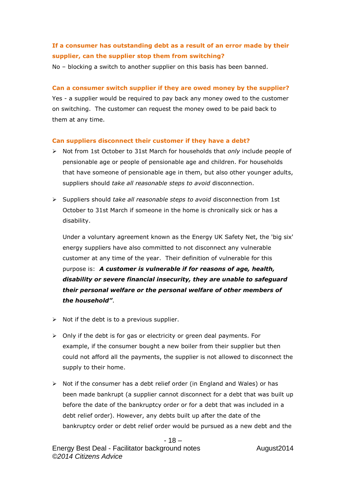# **If a consumer has outstanding debt as a result of an error made by their supplier, can the supplier stop them from switching?**

No – blocking a switch to another supplier on this basis has been banned.

#### **Can a consumer switch supplier if they are owed money by the supplier?**

Yes - a supplier would be required to pay back any money owed to the customer on switching. The customer can request the money owed to be paid back to them at any time.

#### **Can suppliers disconnect their customer if they have a debt?**

- Not from 1st October to 31st March for households that *only* include people of pensionable age or people of pensionable age and children. For households that have someone of pensionable age in them, but also other younger adults, suppliers should *take all reasonable steps to avoid* disconnection.
- Suppliers should *take all reasonable steps to avoid* disconnection from 1st October to 31st March if someone in the home is chronically sick or has a disability.

Under a voluntary agreement known as the Energy UK Safety Net, the 'big six' energy suppliers have also committed to not disconnect any vulnerable customer at any time of the year. Their definition of vulnerable for this purpose is: *A customer is vulnerable if for reasons of age, health, disability or severe financial insecurity, they are unable to safeguard their personal welfare or the personal welfare of other members of the household"*.

- $\triangleright$  Not if the debt is to a previous supplier.
- $\triangleright$  Only if the debt is for gas or electricity or green deal payments. For example, if the consumer bought a new boiler from their supplier but then could not afford all the payments, the supplier is not allowed to disconnect the supply to their home.
- $\triangleright$  Not if the consumer has a debt relief order (in England and Wales) or has been made bankrupt (a supplier cannot disconnect for a debt that was built up before the date of the bankruptcy order or for a debt that was included in a debt relief order). However, any debts built up after the date of the bankruptcy order or debt relief order would be pursued as a new debt and the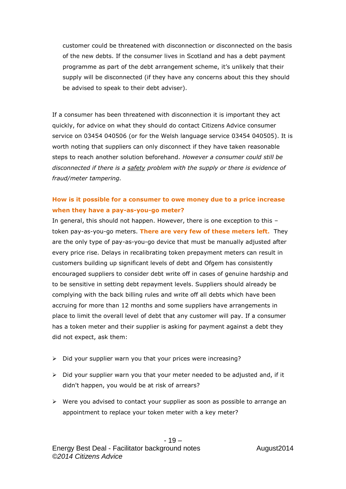customer could be threatened with disconnection or disconnected on the basis of the new debts. If the consumer lives in Scotland and has a debt payment programme as part of the debt arrangement scheme, it's unlikely that their supply will be disconnected (if they have any concerns about this they should be advised to speak to their debt adviser).

If a consumer has been threatened with disconnection it is important they act quickly, for advice on what they should do contact Citizens Advice consumer service on 03454 040506 (or for the Welsh language service 03454 040505). It is worth noting that suppliers can only disconnect if they have taken reasonable steps to reach another solution beforehand. *However a consumer could still be disconnected if there is a safety problem with the supply or there is evidence of fraud/meter tampering.*

## **How is it possible for a consumer to owe money due to a price increase when they have a pay-as-you-go meter?**

In general, this should not happen. However, there is one exception to this – token pay-as-you-go meters. **There are very few of these meters left.** They are the only type of pay-as-you-go device that must be manually adjusted after every price rise. Delays in recalibrating token prepayment meters can result in customers building up significant levels of debt and Ofgem has consistently encouraged suppliers to consider debt write off in cases of genuine hardship and to be sensitive in setting debt repayment levels. Suppliers should already be complying with the back billing rules and write off all debts which have been accruing for more than 12 months and some suppliers have arrangements in place to limit the overall level of debt that any customer will pay. If a consumer has a token meter and their supplier is asking for payment against a debt they did not expect, ask them:

- $\triangleright$  Did your supplier warn you that your prices were increasing?
- $\triangleright$  Did your supplier warn you that your meter needed to be adjusted and, if it didn't happen, you would be at risk of arrears?
- $\triangleright$  Were you advised to contact your supplier as soon as possible to arrange an appointment to replace your token meter with a key meter?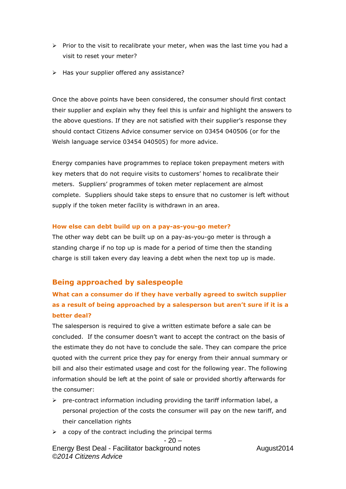- $\triangleright$  Prior to the visit to recalibrate your meter, when was the last time you had a visit to reset your meter?
- $\triangleright$  Has your supplier offered any assistance?

Once the above points have been considered, the consumer should first contact their supplier and explain why they feel this is unfair and highlight the answers to the above questions. If they are not satisfied with their supplier's response they should contact Citizens Advice consumer service on 03454 040506 (or for the Welsh language service 03454 040505) for more advice.

Energy companies have programmes to replace token prepayment meters with key meters that do not require visits to customers' homes to recalibrate their meters. Suppliers' programmes of token meter replacement are almost complete. Suppliers should take steps to ensure that no customer is left without supply if the token meter facility is withdrawn in an area.

#### **How else can debt build up on a pay-as-you-go meter?**

The other way debt can be built up on a pay-as-you-go meter is through a standing charge if no top up is made for a period of time then the standing charge is still taken every day leaving a debt when the next top up is made.

## **Being approached by salespeople**

# **What can a consumer do if they have verbally agreed to switch supplier as a result of being approached by a salesperson but aren't sure if it is a better deal?**

The salesperson is required to give a written estimate before a sale can be concluded. If the consumer doesn't want to accept the contract on the basis of the estimate they do not have to conclude the sale. They can compare the price quoted with the current price they pay for energy from their annual summary or bill and also their estimated usage and cost for the following year. The following information should be left at the point of sale or provided shortly afterwards for the consumer:

- $\triangleright$  pre-contract information including providing the tariff information label, a personal projection of the costs the consumer will pay on the new tariff, and their cancellation rights
- $\geq$  a copy of the contract including the principal terms

$$
-20-
$$

Energy Best Deal - Facilitator background notes August2014 *©2014 Citizens Advice*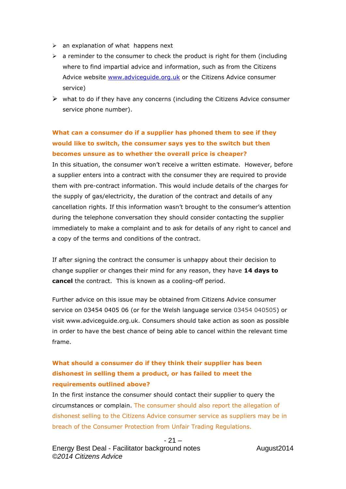- $\triangleright$  an explanation of what happens next
- $\triangleright$  a reminder to the consumer to check the product is right for them (including where to find impartial advice and information, such as from the Citizens Advice website [www.adviceguide.org.uk](http://www.adviceguide.org.uk/) or the Citizens Advice consumer service)
- $\triangleright$  what to do if they have any concerns (including the Citizens Advice consumer service phone number).

# **What can a consumer do if a supplier has phoned them to see if they would like to switch, the consumer says yes to the switch but then becomes unsure as to whether the overall price is cheaper?**

In this situation, the consumer won't receive a written estimate. However, before a supplier enters into a contract with the consumer they are required to provide them with pre-contract information. This would include details of the charges for the supply of gas/electricity, the duration of the contract and details of any cancellation rights. If this information wasn't brought to the consumer's attention during the telephone conversation they should consider contacting the supplier immediately to make a complaint and to ask for details of any right to cancel and a copy of the terms and conditions of the contract.

If after signing the contract the consumer is unhappy about their decision to change supplier or changes their mind for any reason, they have **14 days to cancel** the contract. This is known as a cooling-off period.

Further advice on this issue may be obtained from Citizens Advice consumer service on 03454 0405 06 (or for the Welsh language service 03454 040505) or visit www.adviceguide.org.uk. Consumers should take action as soon as possible in order to have the best chance of being able to cancel within the relevant time frame.

# **What should a consumer do if they think their supplier has been dishonest in selling them a product, or has failed to meet the requirements outlined above?**

In the first instance the consumer should contact their supplier to query the circumstances or complain. The consumer should also report the allegation of dishonest selling to the Citizens Advice consumer service as suppliers may be in breach of the Consumer Protection from Unfair Trading Regulations.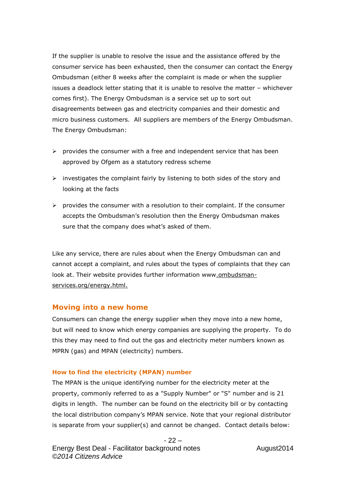If the supplier is unable to resolve the issue and the assistance offered by the consumer service has been exhausted, then the consumer can contact the Energy Ombudsman (either 8 weeks after the complaint is made or when the supplier issues a deadlock letter stating that it is unable to resolve the matter – whichever comes first). The Energy Ombudsman is a service set up to sort out disagreements between gas and electricity companies and their domestic and micro business customers. All suppliers are members of the Energy Ombudsman. The Energy Ombudsman:

- $\triangleright$  provides the consumer with a free and independent service that has been approved by Ofgem as a statutory redress scheme
- $\triangleright$  investigates the complaint fairly by listening to both sides of the story and looking at the facts
- $\triangleright$  provides the consumer with a resolution to their complaint. If the consumer accepts the Ombudsman's resolution then the Energy Ombudsman makes sure that the company does what's asked of them.

Like any service, there are rules about when the Energy Ombudsman can and cannot accept a complaint, and rules about the types of complaints that they can look at. Their website provides further information www.ombudsmanservices.org/energy.html.

## **Moving into a new home**

Consumers can change the energy supplier when they move into a new home, but will need to know which energy companies are supplying the property. To do this they may need to find out the gas and electricity meter numbers known as MPRN (gas) and MPAN (electricity) numbers.

#### **How to find the electricity (MPAN) number**

The MPAN is the unique identifying number for the electricity meter at the property, commonly referred to as a "Supply Number" or "S" number and is 21 digits in length. The number can be found on the electricity bill or by contacting the local distribution company's MPAN service. Note that your regional distributor is separate from your supplier(s) and cannot be changed. Contact details below: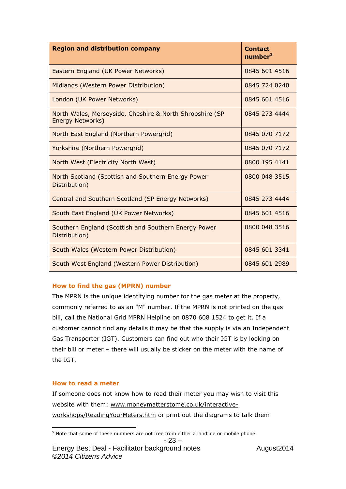| <b>Region and distribution company</b>                                       | <b>Contact</b><br>number <sup>3</sup> |
|------------------------------------------------------------------------------|---------------------------------------|
| Eastern England (UK Power Networks)                                          | 0845 601 4516                         |
| Midlands (Western Power Distribution)                                        | 0845 724 0240                         |
| London (UK Power Networks)                                                   | 0845 601 4516                         |
| North Wales, Merseyside, Cheshire & North Shropshire (SP<br>Energy Networks) | 0845 273 4444                         |
| North East England (Northern Powergrid)                                      | 0845 070 7172                         |
| Yorkshire (Northern Powergrid)                                               | 0845 070 7172                         |
| North West (Electricity North West)                                          | 0800 195 4141                         |
| North Scotland (Scottish and Southern Energy Power<br>Distribution)          | 0800 048 3515                         |
| Central and Southern Scotland (SP Energy Networks)                           | 0845 273 4444                         |
| South East England (UK Power Networks)                                       | 0845 601 4516                         |
| Southern England (Scottish and Southern Energy Power<br>Distribution)        | 0800 048 3516                         |
| South Wales (Western Power Distribution)                                     | 0845 601 3341                         |
| South West England (Western Power Distribution)                              | 0845 601 2989                         |

## **How to find the gas (MPRN) number**

The MPRN is the unique identifying number for the gas meter at the property, commonly referred to as an "M" number. If the MPRN is not printed on the gas bill, call the National Grid MPRN Helpline on 0870 608 1524 to get it. If a customer cannot find any details it may be that the supply is via an Independent Gas Transporter (IGT). Customers can find out who their IGT is by looking on their bill or meter – there will usually be sticker on the meter with the name of the IGT.

#### **How to read a meter**

If someone does not know how to read their meter you may wish to visit this website with them: [www.moneymatterstome.co.uk/interactive](file:///C:/Documents%20and%20Settings/BellB/Local%20Settings/Temporary%20Internet%20Files/BellB/Local%20Settings/Temporary%20Internet%20Files/OLK207/www.moneymatterstome.co.uk/interactive-workshops/ReadingYourMeters.htm)[workshops/ReadingYourMeters.htm](file:///C:/Documents%20and%20Settings/BellB/Local%20Settings/Temporary%20Internet%20Files/BellB/Local%20Settings/Temporary%20Internet%20Files/OLK207/www.moneymatterstome.co.uk/interactive-workshops/ReadingYourMeters.htm) or print out the diagrams to talk them

 $\overline{a}$ <sup>5</sup> Note that some of these numbers are not free from either a landline or mobile phone.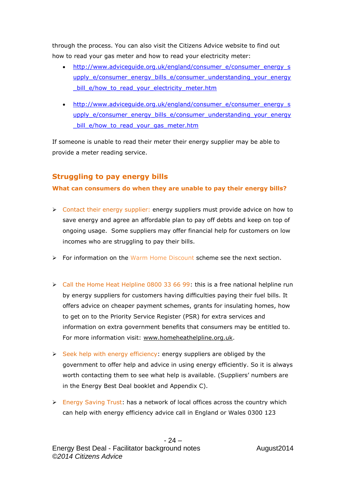through the process. You can also visit the Citizens Advice website to find out how to read your gas meter and how to read your electricity meter:

- [http://www.adviceguide.org.uk/england/consumer\\_e/consumer\\_energy\\_s](http://www.adviceguide.org.uk/england/consumer_e/consumer_energy_supply_e/consumer_energy_bills_e/consumer_understanding_your_energy_bill_e/how_to_read_your_electricity_meter.htm) [upply\\_e/consumer\\_energy\\_bills\\_e/consumer\\_understanding\\_your\\_energy](http://www.adviceguide.org.uk/england/consumer_e/consumer_energy_supply_e/consumer_energy_bills_e/consumer_understanding_your_energy_bill_e/how_to_read_your_electricity_meter.htm) [\\_bill\\_e/how\\_to\\_read\\_your\\_electricity\\_meter.htm](http://www.adviceguide.org.uk/england/consumer_e/consumer_energy_supply_e/consumer_energy_bills_e/consumer_understanding_your_energy_bill_e/how_to_read_your_electricity_meter.htm)
- [http://www.adviceguide.org.uk/england/consumer\\_e/consumer\\_energy\\_s](http://www.adviceguide.org.uk/england/consumer_e/consumer_energy_supply_e/consumer_energy_bills_e/consumer_understanding_your_energy_bill_e/how_to_read_your_gas_meter.htm) [upply\\_e/consumer\\_energy\\_bills\\_e/consumer\\_understanding\\_your\\_energy](http://www.adviceguide.org.uk/england/consumer_e/consumer_energy_supply_e/consumer_energy_bills_e/consumer_understanding_your_energy_bill_e/how_to_read_your_gas_meter.htm) bill e/how to read your gas meter.htm

If someone is unable to read their meter their energy supplier may be able to provide a meter reading service.

# **Struggling to pay energy bills**

## **What can consumers do when they are unable to pay their energy bills?**

- S Contact their energy supplier: energy suppliers must provide advice on how to save energy and agree an affordable plan to pay off debts and keep on top of ongoing usage. Some suppliers may offer financial help for customers on low incomes who are struggling to pay their bills.
- $\triangleright$  For information on the Warm Home Discount scheme see the next section.
- $\ge$  Call the Home Heat Helpline 0800 33 66 99: this is a free national helpline run by energy suppliers for customers having difficulties paying their fuel bills. It offers advice on cheaper payment schemes, grants for insulating homes, how to get on to the Priority Service Register (PSR) for extra services and information on extra government benefits that consumers may be entitled to. For more information visit: [www.homeheathelpline.org.uk.](http://www.homeheathelpline.org.uk/)
- $\triangleright$  Seek help with energy efficiency: energy suppliers are obliged by the government to offer help and advice in using energy efficiently. So it is always worth contacting them to see what help is available. (Suppliers' numbers are in the Energy Best Deal booklet and Appendix C).
- $\triangleright$  Energy Saving Trust: has a network of local offices across the country which can help with energy efficiency advice call in England or Wales 0300 123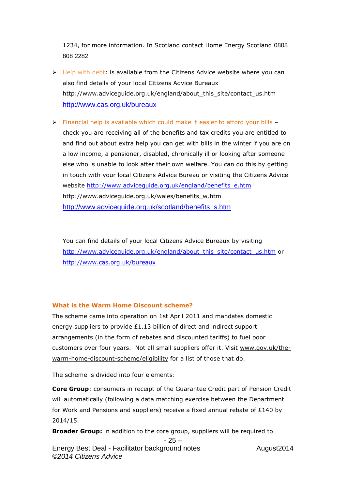1234, for more information. In Scotland contact Home Energy Scotland 0808 808 2282.

- $\triangleright$  Help with debt: is available from the Citizens Advice website where you can also find details of your local Citizens Advice Bureaux http://www.adviceguide.org.uk/england/about\_this\_site/contact\_us.htm <http://www.cas.org.uk/bureaux>
- Financial help is available which could make it easier to afford your bills check you are receiving all of the benefits and tax credits you are entitled to and find out about extra help you can get with bills in the winter if you are on a low income, a pensioner, disabled, chronically ill or looking after someone else who is unable to look after their own welfare. You can do this by getting in touch with your local Citizens Advice Bureau or visiting the Citizens Advice website [http://www.adviceguide.org.uk/england/benefits\\_e.htm](http://www.adviceguide.org.uk/england/benefits_e.htm) http://www.adviceguide.org.uk/wales/benefits\_w.htm [http://www.adviceguide.org.uk/scotland/benefits\\_s.htm](http://www.adviceguide.org.uk/scotland/benefits_s.htm)

You can find details of your local Citizens Advice Bureaux by visiting [http://www.adviceguide.org.uk/england/about\\_this\\_site/contact\\_us.htm](http://www.adviceguide.org.uk/england/about_this_site/contact_us.htm) or <http://www.cas.org.uk/bureaux>

#### **What is the Warm Home Discount scheme?**

The scheme came into operation on 1st April 2011 and mandates domestic energy suppliers to provide £1.13 billion of direct and indirect support arrangements (in the form of rebates and discounted tariffs) to fuel poor customers over four years. Not all small suppliers offer it. Visit [www.gov.uk/the](https://www.gov.uk/the-warm-home-discount-scheme/eligibility)[warm-home-discount-scheme/eligibility](https://www.gov.uk/the-warm-home-discount-scheme/eligibility) for a list of those that do.

The scheme is divided into four elements:

**Core Group**: consumers in receipt of the Guarantee Credit part of Pension Credit will automatically (following a data matching exercise between the Department for Work and Pensions and suppliers) receive a fixed annual rebate of  $£140$  by 2014/15.

**Broader Group:** in addition to the core group, suppliers will be required to

```
- 25 –
```
Energy Best Deal - Facilitator background notes August2014 *©2014 Citizens Advice*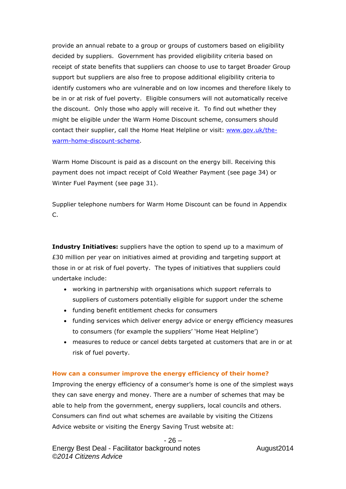provide an annual rebate to a group or groups of customers based on eligibility decided by suppliers. Government has provided eligibility criteria based on receipt of state benefits that suppliers can choose to use to target Broader Group support but suppliers are also free to propose additional eligibility criteria to identify customers who are vulnerable and on low incomes and therefore likely to be in or at risk of fuel poverty. Eligible consumers will not automatically receive the discount. Only those who apply will receive it. To find out whether they might be eligible under the Warm Home Discount scheme, consumers should contact their supplier, call the Home Heat Helpline or visit: [www.gov.uk/the](http://www.gov.uk/the-warm-home-discount-scheme)[warm-home-discount-scheme.](http://www.gov.uk/the-warm-home-discount-scheme)

Warm Home Discount is paid as a discount on the energy bill. Receiving this payment does not impact receipt of Cold Weather Payment (see page 34) or Winter Fuel Payment (see page 31).

Supplier telephone numbers for Warm Home Discount can be found in Appendix C.

**Industry Initiatives:** suppliers have the option to spend up to a maximum of £30 million per year on initiatives aimed at providing and targeting support at those in or at risk of fuel poverty. The types of initiatives that suppliers could undertake include:

- working in partnership with organisations which support referrals to suppliers of customers potentially eligible for support under the scheme
- funding benefit entitlement checks for consumers
- funding services which deliver energy advice or energy efficiency measures to consumers (for example the suppliers' 'Home Heat Helpline')
- measures to reduce or cancel debts targeted at customers that are in or at risk of fuel poverty.

## **How can a consumer improve the energy efficiency of their home?**

Improving the energy efficiency of a consumer's home is one of the simplest ways they can save energy and money. There are a number of schemes that may be able to help from the government, energy suppliers, local councils and others. Consumers can find out what schemes are available by visiting the Citizens Advice website or visiting the Energy Saving Trust website at: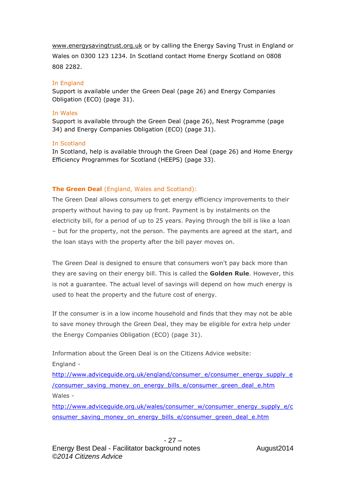[www.energysavingtrust.org.uk](http://www.energysavingtrust.org.uk/) or by calling the Energy Saving Trust in England or Wales on 0300 123 1234. In Scotland contact Home Energy Scotland on 0808 808 2282.

#### In England

Support is available under the Green Deal (page 26) and Energy Companies Obligation (ECO) (page 31).

#### In Wales

Support is available through the Green Deal (page 26), Nest Programme (page 34) and Energy Companies Obligation (ECO) (page 31).

#### In Scotland

In Scotland, help is available through the Green Deal (page 26) and Home Energy Efficiency Programmes for Scotland (HEEPS) (page 33).

## **The Green Deal** (England, Wales and Scotland):

The Green Deal allows consumers to get energy efficiency improvements to their property without having to pay up front. Payment is by instalments on the electricity bill, for a period of up to 25 years. Paying through the bill is like a loan – but for the property, not the person. The payments are agreed at the start, and the loan stays with the property after the bill payer moves on.

The Green Deal is designed to ensure that consumers won't pay back more than they are saving on their energy bill. This is called the **Golden Rule**. However, this is not a guarantee. The actual level of savings will depend on how much energy is used to heat the property and the future cost of energy.

If the consumer is in a low income household and finds that they may not be able to save money through the Green Deal, they may be eligible for extra help under the Energy Companies Obligation (ECO) (page 31).

Information about the Green Deal is on the Citizens Advice website: England -

[http://www.adviceguide.org.uk/england/consumer\\_e/consumer\\_energy\\_supply\\_e](http://www.adviceguide.org.uk/england/consumer_e/consumer_energy_supply_e/consumer_saving_money_on_energy_bills_e/consumer_green_deal_e.htm) [/consumer\\_saving\\_money\\_on\\_energy\\_bills\\_e/consumer\\_green\\_deal\\_e.htm](http://www.adviceguide.org.uk/england/consumer_e/consumer_energy_supply_e/consumer_saving_money_on_energy_bills_e/consumer_green_deal_e.htm) Wales -

[http://www.adviceguide.org.uk/wales/consumer\\_w/consumer\\_energy\\_supply\\_e/c](http://www.adviceguide.org.uk/wales/consumer_w/consumer_energy_supply_e/consumer_saving_money_on_energy_bills_e/consumer_green_deal_e.htm) [onsumer\\_saving\\_money\\_on\\_energy\\_bills\\_e/consumer\\_green\\_deal\\_e.htm](http://www.adviceguide.org.uk/wales/consumer_w/consumer_energy_supply_e/consumer_saving_money_on_energy_bills_e/consumer_green_deal_e.htm)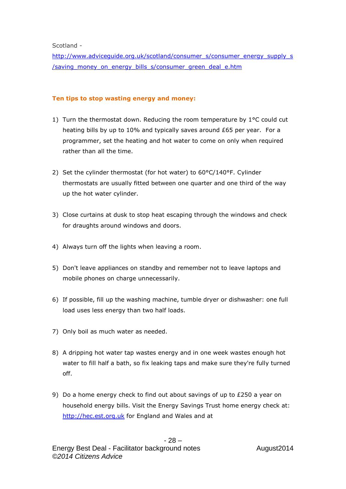Scotland -

[http://www.adviceguide.org.uk/scotland/consumer\\_s/consumer\\_energy\\_supply\\_s](http://www.adviceguide.org.uk/scotland/consumer_s/consumer_energy_supply_s/saving_money_on_energy_bills_s/consumer_green_deal_e.htm) [/saving\\_money\\_on\\_energy\\_bills\\_s/consumer\\_green\\_deal\\_e.htm](http://www.adviceguide.org.uk/scotland/consumer_s/consumer_energy_supply_s/saving_money_on_energy_bills_s/consumer_green_deal_e.htm)

## **Ten tips to stop wasting energy and money:**

- 1) Turn the thermostat down. Reducing the room temperature by 1°C could cut heating bills by up to 10% and typically saves around £65 per year. For a programmer, set the heating and hot water to come on only when required rather than all the time.
- 2) Set the cylinder thermostat (for hot water) to 60°C/140°F. Cylinder thermostats are usually fitted between one quarter and one third of the way up the hot water cylinder.
- 3) Close curtains at dusk to stop heat escaping through the windows and check for draughts around windows and doors.
- 4) Always turn off the lights when leaving a room.
- 5) Don't leave appliances on standby and remember not to leave laptops and mobile phones on charge unnecessarily.
- 6) If possible, fill up the washing machine, tumble dryer or dishwasher: one full load uses less energy than two half loads.
- 7) Only boil as much water as needed.
- 8) A dripping hot water tap wastes energy and in one week wastes enough hot water to fill half a bath, so fix leaking taps and make sure they're fully turned off.
- 9) Do a home energy check to find out about savings of up to  $£250$  a year on household energy bills. Visit the Energy Savings Trust home energy check at: [http://hec.est.org.uk](http://hec.est.org.uk/) for England and Wales and at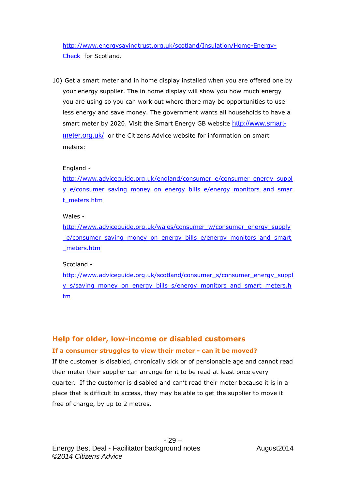[http://www.energysavingtrust.org.uk/scotland/Insulation/Home-Energy-](http://www.energysavingtrust.org.uk/scotland/Insulation/Home-Energy-Check)[Check](http://www.energysavingtrust.org.uk/scotland/Insulation/Home-Energy-Check) for Scotland.

10) Get a smart meter and in home display installed when you are offered one by your energy supplier. The in home display will show you how much energy you are using so you can work out where there may be opportunities to use less energy and save money. The government wants all households to have a smart meter by 2020. Visit the Smart Energy GB website [http://www.smart](http://www.smart-meter.org.uk/)[meter.org.uk/](http://www.smart-meter.org.uk/) or the Citizens Advice website for information on smart meters:

#### England -

[http://www.adviceguide.org.uk/england/consumer\\_e/consumer\\_energy\\_suppl](http://www.adviceguide.org.uk/england/consumer_e/consumer_energy_supply_e/consumer_saving_money_on_energy_bills_e/energy_monitors_and_smart_meters.htm) y e/consumer saving money on energy bills e/energy monitors and smar [t\\_meters.htm](http://www.adviceguide.org.uk/england/consumer_e/consumer_energy_supply_e/consumer_saving_money_on_energy_bills_e/energy_monitors_and_smart_meters.htm)

#### Wales -

[http://www.adviceguide.org.uk/wales/consumer\\_w/consumer\\_energy\\_supply](http://www.adviceguide.org.uk/wales/consumer_w/consumer_energy_supply_e/consumer_saving_money_on_energy_bills_e/energy_monitors_and_smart_meters.htm) e/consumer\_saving\_money\_on\_energy\_bills\_e/energy\_monitors\_and\_smart [\\_meters.htm](http://www.adviceguide.org.uk/wales/consumer_w/consumer_energy_supply_e/consumer_saving_money_on_energy_bills_e/energy_monitors_and_smart_meters.htm)

#### Scotland -

[http://www.adviceguide.org.uk/scotland/consumer\\_s/consumer\\_energy\\_suppl](http://www.adviceguide.org.uk/scotland/consumer_s/consumer_energy_supply_s/saving_money_on_energy_bills_s/energy_monitors_and_smart_meters.htm) y s/saving money on energy bills s/energy monitors and smart meters.h [tm](http://www.adviceguide.org.uk/scotland/consumer_s/consumer_energy_supply_s/saving_money_on_energy_bills_s/energy_monitors_and_smart_meters.htm)

## **Help for older, low-income or disabled customers**

## **If a consumer struggles to view their meter - can it be moved?**

If the customer is disabled, chronically sick or of pensionable age and cannot read their meter their supplier can arrange for it to be read at least once every quarter. If the customer is disabled and can't read their meter because it is in a place that is difficult to access, they may be able to get the supplier to move it free of charge, by up to 2 metres.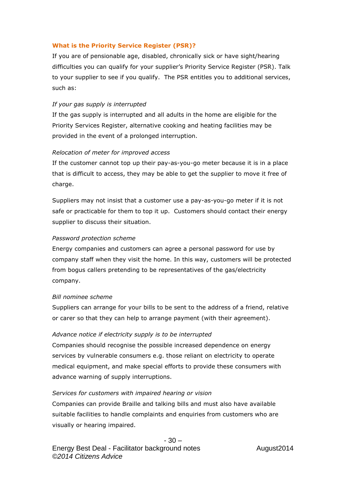#### **What is the Priority Service Register (PSR)?**

If you are of pensionable age, disabled, chronically sick or have sight/hearing difficulties you can qualify for your supplier's Priority Service Register (PSR). Talk to your supplier to see if you qualify. The PSR entitles you to additional services, such as:

#### *If your gas supply is interrupted*

If the gas supply is interrupted and all adults in the home are eligible for the Priority Services Register, alternative cooking and heating facilities may be provided in the event of a prolonged interruption.

#### *Relocation of meter for improved access*

If the customer cannot top up their pay-as-you-go meter because it is in a place that is difficult to access, they may be able to get the supplier to move it free of charge.

Suppliers may not insist that a customer use a pay-as-you-go meter if it is not safe or practicable for them to top it up. Customers should contact their energy supplier to discuss their situation.

#### *Password protection scheme*

Energy companies and customers can agree a personal password for use by company staff when they visit the home. In this way, customers will be protected from bogus callers pretending to be representatives of the gas/electricity company.

#### *Bill nominee scheme*

Suppliers can arrange for your bills to be sent to the address of a friend, relative or carer so that they can help to arrange payment (with their agreement).

#### *Advance notice if electricity supply is to be interrupted*

Companies should recognise the possible increased dependence on energy services by vulnerable consumers e.g. those reliant on electricity to operate medical equipment, and make special efforts to provide these consumers with advance warning of supply interruptions.

#### *Services for customers with impaired hearing or vision*

Companies can provide Braille and talking bills and must also have available suitable facilities to handle complaints and enquiries from customers who are visually or hearing impaired.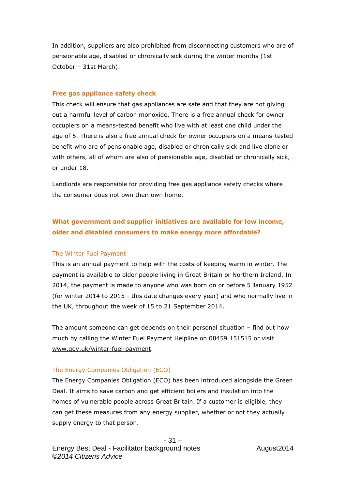In addition, suppliers are also prohibited from disconnecting customers who are of pensionable age, disabled or chronically sick during the winter months (1st October – 31st March).

#### **Free gas appliance safety check**

This check will ensure that gas appliances are safe and that they are not giving out a harmful level of carbon monoxide. There is a free annual check for owner occupiers on a means-tested benefit who live with at least one child under the age of 5. There is also a free annual check for owner occupiers on a means-tested benefit who are of pensionable age, disabled or chronically sick and live alone or with others, all of whom are also of pensionable age, disabled or chronically sick, or under 18.

Landlords are responsible for providing free gas appliance safety checks where the consumer does not own their own home.

## **What government and supplier initiatives are available for low income, older and disabled consumers to make energy more affordable?**

#### The Winter Fuel Payment

This is an annual payment to help with the costs of keeping warm in winter. The payment is available to older people living in Great Britain or Northern Ireland. In 2014, the payment is made to anyone who was born on or before 5 January 1952 (for winter 2014 to 2015 - this date changes every year) and who normally live in the UK, throughout the week of 15 to 21 September 2014.

The amount someone can get depends on their personal situation – find out how much by calling the Winter Fuel Payment Helpline on 08459 151515 or visit www.gov.uk/winter-fuel-payment.

#### The Energy Companies Obligation (ECO)

The Energy Companies Obligation (ECO) has been introduced alongside the Green Deal. It aims to save carbon and get efficient boilers and insulation into the homes of vulnerable people across Great Britain. If a customer is eligible, they can get these measures from any energy supplier, whether or not they actually supply energy to that person.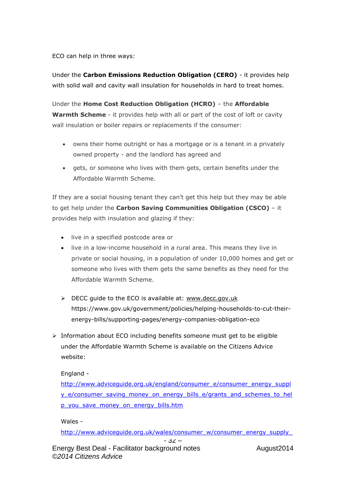ECO can help in three ways:

Under the **Carbon Emissions Reduction Obligation (CERO)** - it provides help with solid wall and cavity wall insulation for households in hard to treat homes.

Under the **Home Cost Reduction Obligation (HCRO)** – the **Affordable Warmth Scheme** - it provides help with all or part of the cost of loft or cavity wall insulation or boiler repairs or replacements if the consumer:

- owns their home outright or has a mortgage or is a tenant in a privately owned property - and the landlord has agreed and
- gets, or someone who lives with them gets, certain benefits under the Affordable Warmth Scheme.

If they are a social housing tenant they can't get this help but they may be able to get help under the **Carbon Saving Communities Obligation (CSCO)** – it provides help with insulation and glazing if they:

- live in a specified postcode area or
- live in a low-income household in a rural area. This means they live in private or social housing, in a population of under 10,000 homes and get or someone who lives with them gets the same benefits as they need for the Affordable Warmth Scheme.
- DECC guide to the ECO is available at: www.decc.gov.uk https://www.gov.uk/government/policies/helping-households-to-cut-theirenergy-bills/supporting-pages/energy-companies-obligation-eco
- $\triangleright$  Information about ECO including benefits someone must get to be eligible under the Affordable Warmth Scheme is available on the Citizens Advice website:

England -

[http://www.adviceguide.org.uk/england/consumer\\_e/consumer\\_energy\\_suppl](http://www.adviceguide.org.uk/england/consumer_e/consumer_energy_supply_e/consumer_saving_money_on_energy_bills_e/grants_and_schemes_to_help_you_save_money_on_energy_bills.htm) [y\\_e/consumer\\_saving\\_money\\_on\\_energy\\_bills\\_e/grants\\_and\\_schemes\\_to\\_hel](http://www.adviceguide.org.uk/england/consumer_e/consumer_energy_supply_e/consumer_saving_money_on_energy_bills_e/grants_and_schemes_to_help_you_save_money_on_energy_bills.htm) [p\\_you\\_save\\_money\\_on\\_energy\\_bills.htm](http://www.adviceguide.org.uk/england/consumer_e/consumer_energy_supply_e/consumer_saving_money_on_energy_bills_e/grants_and_schemes_to_help_you_save_money_on_energy_bills.htm)

Wales -

*©2014 Citizens Advice*

[http://www.adviceguide.org.uk/wales/consumer\\_w/consumer\\_energy\\_supply\\_](http://www.adviceguide.org.uk/wales/consumer_w/consumer_energy_supply_e/consumer_saving_money_on_energy_bills_e/grants_and_schemes_to_help_you_save_money_on_energy_bills_w.htm)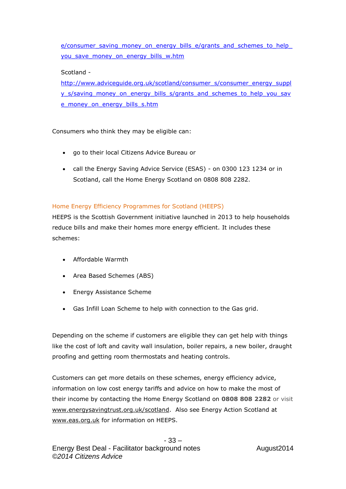[e/consumer\\_saving\\_money\\_on\\_energy\\_bills\\_e/grants\\_and\\_schemes\\_to\\_help\\_](http://www.adviceguide.org.uk/wales/consumer_w/consumer_energy_supply_e/consumer_saving_money_on_energy_bills_e/grants_and_schemes_to_help_you_save_money_on_energy_bills_w.htm) you save money on energy bills w.htm

## Scotland -

[http://www.adviceguide.org.uk/scotland/consumer\\_s/consumer\\_energy\\_suppl](http://www.adviceguide.org.uk/scotland/consumer_s/consumer_energy_supply_s/saving_money_on_energy_bills_s/grants_and_schemes_to_help_you_save_money_on_energy_bills_s.htm) y s/saving money on energy bills s/grants and schemes to help you sav [e\\_money\\_on\\_energy\\_bills\\_s.htm](http://www.adviceguide.org.uk/scotland/consumer_s/consumer_energy_supply_s/saving_money_on_energy_bills_s/grants_and_schemes_to_help_you_save_money_on_energy_bills_s.htm)

Consumers who think they may be eligible can:

- go to their local Citizens Advice Bureau or
- call the Energy Saving Advice Service (ESAS) on 0300 123 1234 or in Scotland, call the Home Energy Scotland on 0808 808 2282.

## Home Energy Efficiency Programmes for Scotland (HEEPS)

HEEPS is the Scottish Government initiative launched in 2013 to help households reduce bills and make their homes more energy efficient. It includes these schemes:

- Affordable Warmth
- Area Based Schemes (ABS)
- Energy Assistance Scheme
- Gas Infill Loan Scheme to help with connection to the Gas grid.

Depending on the scheme if customers are eligible they can get help with things like the cost of loft and cavity wall insulation, boiler repairs, a new boiler, draught proofing and getting room thermostats and heating controls.

Customers can get more details on these schemes, energy efficiency advice, information on low cost energy tariffs and advice on how to make the most of their income by contacting the Home Energy Scotland on **0808 808 2282** or visit [www.energysavingtrust.org.uk/scotland.](http://www.energysavingtrust.org.uk/scotland) Also see Energy Action Scotland at [www.eas.org.uk](http://www.eas.org.uk/) for information on HEEPS.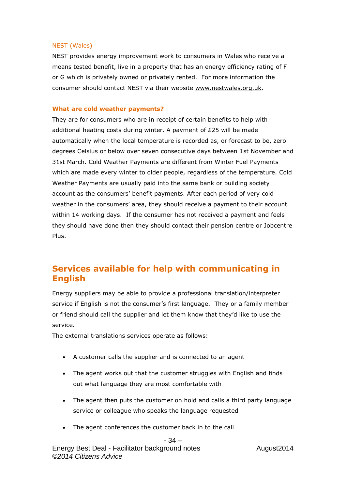#### NEST (Wales)

NEST provides energy improvement work to consumers in Wales who receive a means tested benefit, live in a property that has an energy efficiency rating of F or G which is privately owned or privately rented. For more information the consumer should contact NEST via their website [www.nestwales.org.uk.](http://www.nestwales.org.uk/)

#### **What are cold weather payments?**

They are for consumers who are in receipt of certain benefits to help with additional heating costs during winter. A payment of £25 will be made automatically when the local temperature is recorded as, or forecast to be, zero degrees Celsius or below over seven consecutive days between 1st November and 31st March. Cold Weather Payments are different from Winter Fuel Payments which are made every winter to older people, regardless of the temperature. Cold Weather Payments are usually paid into the same bank or building society account as the consumers' benefit payments. After each period of very cold weather in the consumers' area, they should receive a payment to their account within 14 working days. If the consumer has not received a payment and feels they should have done then they should contact their pension centre or Jobcentre Plus.

# **Services available for help with communicating in English**

Energy suppliers may be able to provide a professional translation/interpreter service if English is not the consumer's first language. They or a family member or friend should call the supplier and let them know that they'd like to use the service.

The external translations services operate as follows:

- A customer calls the supplier and is connected to an agent
- The agent works out that the customer struggles with English and finds out what language they are most comfortable with
- The agent then puts the customer on hold and calls a third party language service or colleague who speaks the language requested
- The agent conferences the customer back in to the call

#### - 34 –

Energy Best Deal - Facilitator background notes August2014 *©2014 Citizens Advice*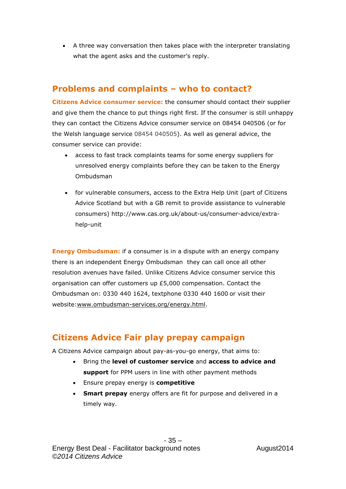A three way conversation then takes place with the interpreter translating what the agent asks and the customer's reply.

# **Problems and complaints – who to contact?**

**Citizens Advice consumer service:** the consumer should contact their supplier and give them the chance to put things right first. If the consumer is still unhappy they can contact the Citizens Advice consumer service on 08454 040506 (or for the Welsh language service 08454 040505). As well as general advice, the consumer service can provide:

- access to fast track complaints teams for some energy suppliers for unresolved energy complaints before they can be taken to the Energy Ombudsman
- for vulnerable consumers, access to the Extra Help Unit (part of Citizens Advice Scotland but with a GB remit to provide assistance to vulnerable consumers) http://www.cas.org.uk/about-us/consumer-advice/extrahelp-unit

**Energy Ombudsman:** if a consumer is in a dispute with an energy company there is an independent Energy Ombudsman they can call once all other resolution avenues have failed. Unlike Citizens Advice consumer service this organisation can offer customers up £5,000 compensation. Contact the Ombudsman on: 0330 440 1624, textphone 0330 440 1600 or visit their website:www.ombudsman-services.org/energy.html.

# **Citizens Advice Fair play prepay campaign**

A Citizens Advice campaign about pay-as-you-go energy, that aims to:

- Bring the **level of customer service** and **access to advice and support** for PPM users in line with other payment methods
- Ensure prepay energy is **competitive**
- **Smart prepay** energy offers are fit for purpose and delivered in a timely way.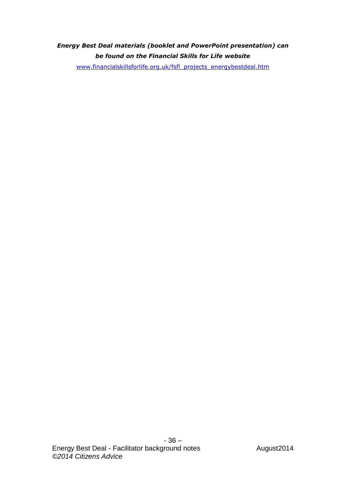# *Energy Best Deal materials (booklet and PowerPoint presentation) can be found on the Financial Skills for Life website*

[www.financialskillsforlife.org.uk/fsfl\\_projects\\_energybestdeal.htm](http://www.financialskillsforlife.org.uk/fsfl_projects_energybestdeal.htm)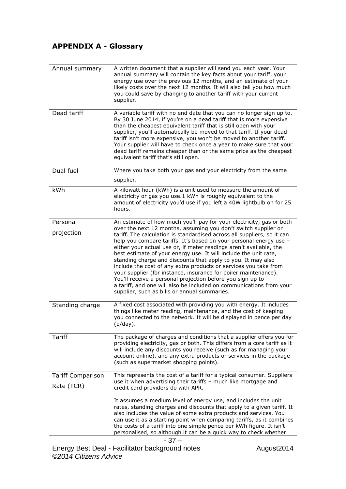# **APPENDIX A - Glossary**

| Annual summary           | A written document that a supplier will send you each year. Your<br>annual summary will contain the key facts about your tariff, your<br>energy use over the previous 12 months, and an estimate of your<br>likely costs over the next 12 months. It will also tell you how much<br>you could save by changing to another tariff with your current<br>supplier.                                                                                                                                                                                                                                                                                                                                                                                       |
|--------------------------|-------------------------------------------------------------------------------------------------------------------------------------------------------------------------------------------------------------------------------------------------------------------------------------------------------------------------------------------------------------------------------------------------------------------------------------------------------------------------------------------------------------------------------------------------------------------------------------------------------------------------------------------------------------------------------------------------------------------------------------------------------|
| Dead tariff              | A variable tariff with no end date that you can no longer sign up to.<br>By 30 June 2014, if you're on a dead tariff that is more expensive<br>than the cheapest equivalent tariff that is still open with your<br>supplier, you'll automatically be moved to that tariff. If your dead<br>tariff isn't more expensive, you won't be moved to another tariff.<br>Your supplier will have to check once a year to make sure that your<br>dead tariff remains cheaper than or the same price as the cheapest<br>equivalent tariff that's still open.                                                                                                                                                                                                    |
| Dual fuel                | Where you take both your gas and your electricity from the same                                                                                                                                                                                                                                                                                                                                                                                                                                                                                                                                                                                                                                                                                       |
|                          | supplier.                                                                                                                                                                                                                                                                                                                                                                                                                                                                                                                                                                                                                                                                                                                                             |
| kWh                      | A kilowatt hour (kWh) is a unit used to measure the amount of<br>electricity or gas you use.1 kWh is roughly equivalent to the<br>amount of electricity you'd use if you left a 40W lightbulb on for 25<br>hours.                                                                                                                                                                                                                                                                                                                                                                                                                                                                                                                                     |
| Personal                 | An estimate of how much you'll pay for your electricity, gas or both                                                                                                                                                                                                                                                                                                                                                                                                                                                                                                                                                                                                                                                                                  |
| projection               | over the next 12 months, assuming you don't switch supplier or<br>tariff. The calculation is standardised across all suppliers, so it can<br>help you compare tariffs. It's based on your personal energy use -<br>either your actual use or, if meter readings aren't available, the<br>best estimate of your energy use. It will include the unit rate,<br>standing charge and discounts that apply to you. It may also<br>include the cost of any extra products or services you take from<br>your supplier (for instance, insurance for boiler maintenance).<br>You'll receive a personal projection before you sign up to<br>a tariff, and one will also be included on communications from your<br>supplier, such as bills or annual summaries. |
| Standing charge          | A fixed cost associated with providing you with energy. It includes<br>things like meter reading, maintenance, and the cost of keeping<br>you connected to the network. It will be displayed in pence per day<br>(p/day).                                                                                                                                                                                                                                                                                                                                                                                                                                                                                                                             |
| <b>Tariff</b>            | The package of charges and conditions that a supplier offers you for<br>providing electricity, gas or both. This differs from a core tariff as it<br>will include any discounts you receive (such as for managing your<br>account online), and any extra products or services in the package<br>(such as supermarket shopping points).                                                                                                                                                                                                                                                                                                                                                                                                                |
| <b>Tariff Comparison</b> | This represents the cost of a tariff for a typical consumer. Suppliers                                                                                                                                                                                                                                                                                                                                                                                                                                                                                                                                                                                                                                                                                |
| Rate (TCR)               | use it when advertising their tariffs - much like mortgage and<br>credit card providers do with APR.                                                                                                                                                                                                                                                                                                                                                                                                                                                                                                                                                                                                                                                  |
|                          | It assumes a medium level of energy use, and includes the unit<br>rates, standing charges and discounts that apply to a given tariff. It<br>also includes the value of some extra products and services. You<br>can use it as a starting point when comparing tariffs, as it combines<br>the costs of a tariff into one simple pence per kWh figure. It isn't<br>personalised, so although it can be a quick way to check whether                                                                                                                                                                                                                                                                                                                     |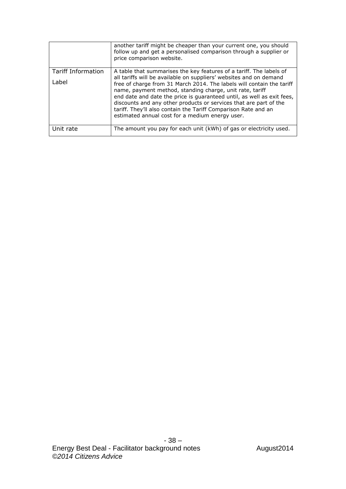|                                    | another tariff might be cheaper than your current one, you should<br>follow up and get a personalised comparison through a supplier or<br>price comparison website.                                                                                                                                                                                                                                                                                                                                                                                |
|------------------------------------|----------------------------------------------------------------------------------------------------------------------------------------------------------------------------------------------------------------------------------------------------------------------------------------------------------------------------------------------------------------------------------------------------------------------------------------------------------------------------------------------------------------------------------------------------|
| <b>Tariff Information</b><br>Label | A table that summarises the key features of a tariff. The labels of<br>all tariffs will be available on suppliers' websites and on demand<br>free of charge from 31 March 2014. The labels will contain the tariff<br>name, payment method, standing charge, unit rate, tariff<br>end date and date the price is quaranteed until, as well as exit fees,<br>discounts and any other products or services that are part of the<br>tariff. They'll also contain the Tariff Comparison Rate and an<br>estimated annual cost for a medium energy user. |
| Unit rate                          | The amount you pay for each unit (kWh) of gas or electricity used.                                                                                                                                                                                                                                                                                                                                                                                                                                                                                 |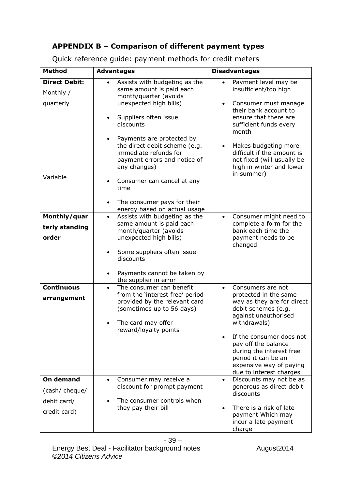# **APPENDIX B – Comparison of different payment types**

| <b>Method</b>                                              | <b>Advantages</b>                                                                                                                                                                                                                                                                                                                                                                                                                                               | <b>Disadvantages</b>                                                                                                                                                                                                                                                                                                            |
|------------------------------------------------------------|-----------------------------------------------------------------------------------------------------------------------------------------------------------------------------------------------------------------------------------------------------------------------------------------------------------------------------------------------------------------------------------------------------------------------------------------------------------------|---------------------------------------------------------------------------------------------------------------------------------------------------------------------------------------------------------------------------------------------------------------------------------------------------------------------------------|
| <b>Direct Debit:</b><br>Monthly /<br>quarterly<br>Variable | Assists with budgeting as the<br>$\bullet$<br>same amount is paid each<br>month/quarter (avoids<br>unexpected high bills)<br>Suppliers often issue<br>$\bullet$<br>discounts<br>Payments are protected by<br>$\bullet$<br>the direct debit scheme (e.g.<br>immediate refunds for<br>payment errors and notice of<br>any changes)<br>Consumer can cancel at any<br>$\bullet$<br>time<br>The consumer pays for their<br>$\bullet$<br>energy based on actual usage | Payment level may be<br>$\bullet$<br>insufficient/too high<br>Consumer must manage<br>$\bullet$<br>their bank account to<br>ensure that there are<br>sufficient funds every<br>month<br>Makes budgeting more<br>$\bullet$<br>difficult if the amount is<br>not fixed (will usually be<br>high in winter and lower<br>in summer) |
| Monthly/quar<br>terly standing<br>order                    | Assists with budgeting as the<br>$\bullet$<br>same amount is paid each<br>month/quarter (avoids<br>unexpected high bills)<br>Some suppliers often issue<br>$\bullet$<br>discounts<br>Payments cannot be taken by<br>$\bullet$                                                                                                                                                                                                                                   | Consumer might need to<br>$\bullet$<br>complete a form for the<br>bank each time the<br>payment needs to be<br>changed                                                                                                                                                                                                          |
| <b>Continuous</b><br>arrangement                           | the supplier in error<br>The consumer can benefit<br>$\bullet$<br>from the 'interest free' period<br>provided by the relevant card<br>(sometimes up to 56 days)<br>The card may offer<br>reward/loyalty points                                                                                                                                                                                                                                                  | Consumers are not<br>$\bullet$<br>protected in the same<br>way as they are for direct<br>debit schemes (e.g.<br>against unauthorised<br>withdrawals)<br>If the consumer does not<br>pay off the balance<br>during the interest free<br>period it can be an<br>expensive way of paying<br>due to interest charges                |
| On demand<br>(cash/ cheque/<br>debit card/<br>credit card) | Consumer may receive a<br>$\bullet$<br>discount for prompt payment<br>The consumer controls when<br>they pay their bill                                                                                                                                                                                                                                                                                                                                         | Discounts may not be as<br>$\bullet$<br>generous as direct debit<br>discounts<br>There is a risk of late<br>payment Which may<br>incur a late payment<br>charge                                                                                                                                                                 |

Quick reference guide: payment methods for credit meters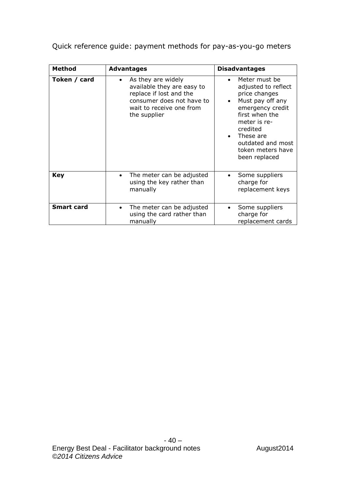Quick reference guide: payment methods for pay-as-you-go meters

| <b>Method</b>     | <b>Advantages</b>                                                                                                                                                 | <b>Disadvantages</b>                                                                                                                                                                                                                                       |
|-------------------|-------------------------------------------------------------------------------------------------------------------------------------------------------------------|------------------------------------------------------------------------------------------------------------------------------------------------------------------------------------------------------------------------------------------------------------|
| Token / card      | As they are widely<br>$\bullet$<br>available they are easy to<br>replace if lost and the<br>consumer does not have to<br>wait to receive one from<br>the supplier | Meter must be<br>$\bullet$<br>adjusted to reflect<br>price changes<br>Must pay off any<br>$\bullet$<br>emergency credit<br>first when the<br>meter is re-<br>credited<br>These are<br>$\bullet$<br>outdated and most<br>token meters have<br>been replaced |
| <b>Key</b>        | The meter can be adjusted<br>$\bullet$<br>using the key rather than<br>manually                                                                                   | Some suppliers<br>$\bullet$<br>charge for<br>replacement keys                                                                                                                                                                                              |
| <b>Smart card</b> | The meter can be adjusted<br>using the card rather than<br>manually                                                                                               | Some suppliers<br>٠<br>charge for<br>replacement cards                                                                                                                                                                                                     |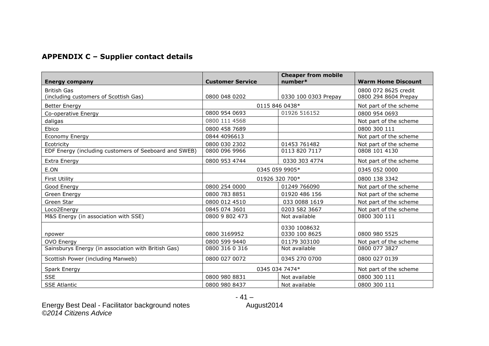# **APPENDIX C – Supplier contact details**

| <b>Energy company</b>                                 | <b>Customer Service</b> | <b>Cheaper from mobile</b><br>number* | <b>Warm Home Discount</b> |
|-------------------------------------------------------|-------------------------|---------------------------------------|---------------------------|
| <b>British Gas</b>                                    |                         |                                       | 0800 072 8625 credit      |
| (including customers of Scottish Gas)                 | 0800 048 0202           | 0330 100 0303 Prepay                  | 0800 294 8604 Prepay      |
| <b>Better Energy</b>                                  |                         | 0115 846 0438*                        | Not part of the scheme    |
| Co-operative Energy                                   | 0800 954 0693           | 01926 516152                          | 0800 954 0693             |
| daligas                                               | 0800 111 4568           |                                       | Not part of the scheme    |
| Ebico                                                 | 0800 458 7689           |                                       | 0800 300 111              |
| Economy Energy                                        | 0844 4096613            |                                       | Not part of the scheme    |
| Ecotricity                                            | 0800 030 2302           | 01453 761482                          | Not part of the scheme    |
| EDF Energy (including customers of Seeboard and SWEB) | 0800 096 9966           | 0113 820 7117                         | 0808 101 4130             |
| Extra Energy                                          | 0800 953 4744           | 0330 303 4774                         | Not part of the scheme    |
| E.ON                                                  | 0345 059 9905*          |                                       | 0345 052 0000             |
| <b>First Utility</b>                                  | 01926 320 700*          |                                       | 0800 138 3342             |
| Good Energy                                           | 0800 254 0000           | 01249 766090                          | Not part of the scheme    |
| Green Energy                                          | 0800 783 8851           | 01920 486 156                         | Not part of the scheme    |
| Green Star                                            | 0800 012 4510           | 033 0088 1619                         | Not part of the scheme    |
| Loco2Energy                                           | 0845 074 3601           | 0203 582 3667                         | Not part of the scheme    |
| M&S Energy (in association with SSE)                  | 0800 9 802 473          | Not available                         | 0800 300 111              |
| npower                                                | 0800 3169952            | 0330 1008632<br>0330 100 8625         | 0800 980 5525             |
| OVO Energy                                            | 0800 599 9440           | 01179 303100                          | Not part of the scheme    |
| Sainsburys Energy (in association with British Gas)   | 0800 316 0 316          | Not available                         | 0800 077 3827             |
| Scottish Power (including Manweb)                     | 0800 027 0072           | 0345 270 0700                         | 0800 027 0139             |
| Spark Energy                                          | 0345 034 7474*          |                                       | Not part of the scheme    |
| <b>SSE</b>                                            | 0800 980 8831           | Not available                         | 0800 300 111              |
| <b>SSE Atlantic</b>                                   | 0800 980 8437           | Not available                         | 0800 300 111              |

Energy Best Deal - Facilitator background notes **August2014** *©2014 Citizens Advice*

- 41 –